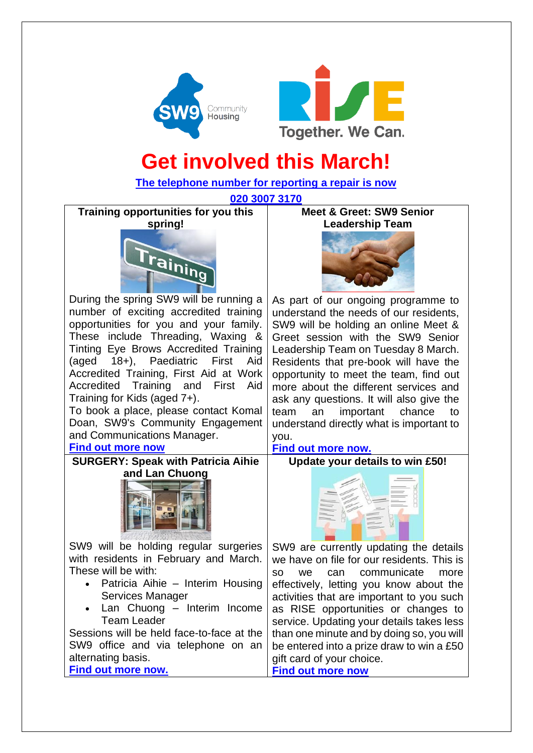



# **Get involved this March!**

**[The telephone number for reporting a repair is now](https://www.sw9.org.uk/news/news/2022-news/your-new-repairs-phone-number/)**

**[020 3007 3170](https://www.sw9.org.uk/news/news/2022-news/your-new-repairs-phone-number/)**

**Training opportunities for you this spring!**



During the spring SW9 will be running a number of exciting accredited training opportunities for you and your family. These include Threading, Waxing & Tinting Eye Brows Accredited Training (aged 18+), Paediatric First Aid Accredited Training, First Aid at Work Accredited Training and First Aid Training for Kids (aged 7+).

To book a place, please contact Komal Doan, SW9's Community Engagement and Communications Manager.

# **Find [out more now](https://www.sw9.org.uk/news/news/2022-news/training-opportunities-for-you-this-spring/)**

**SURGERY: Speak with Patricia Aihie and Lan Chuong**



SW9 will be holding regular surgeries with residents in February and March. These will be with:

- Patricia Aihie Interim Housing Services Manager
- Lan Chuong Interim Income Team Leader

Sessions will be held face-to-face at the SW9 office and via telephone on an alternating basis. **[Find out more now.](https://www.sw9.org.uk/news/news/2022-news/surgery-speak-with-patricia-aihie-and-lan-chuong/)**

**Meet & Greet: SW9 Senior Leadership Team**



As part of our ongoing programme to understand the needs of our residents, SW9 will be holding an online Meet & Greet session with the SW9 Senior Leadership Team on Tuesday 8 March. Residents that pre-book will have the opportunity to meet the team, find out more about the different services and ask any questions. It will also give the team an important chance to understand directly what is important to you.

# **[Find out more now.](https://www.sw9.org.uk/news/news/2022-news/meet-greet-sw9-senior-leadership-team/)**

**Update your details to win £50!**



SW9 are currently updating the details we have on file for our residents. This is so we can communicate more effectively, letting you know about the activities that are important to you such as RISE opportunities or changes to service. Updating your details takes less than one minute and by doing so, you will be entered into a prize draw to win a £50 gift card of your choice. **[Find out more now](https://www.sw9.org.uk/news/news/2022-news/update-your-details-to-win-50/)**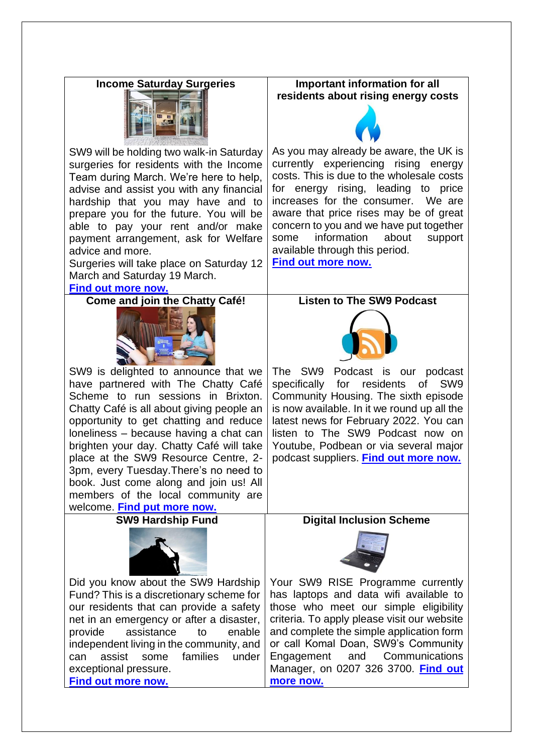### **Income Saturday Surgeries**



SW9 will be holding two walk-in Saturday surgeries for residents with the Income Team during March. We're here to help, advise and assist you with any financial hardship that you may have and to prepare you for the future. You will be able to pay your rent and/or make payment arrangement, ask for Welfare advice and more.

Surgeries will take place on Saturday 12 March and Saturday 19 March.

#### **[Find out more now.](https://www.sw9.org.uk/news/news/2022-news/income-saturday-surgeries/)**

**Come and join the Chatty Café!**



SW9 is delighted to announce that we have partnered with The Chatty Café Scheme to run sessions in Brixton. Chatty Café is all about giving people an opportunity to get chatting and reduce loneliness – because having a chat can brighten your day. Chatty Café will take place at the SW9 Resource Centre, 2- 3pm, every Tuesday.There's no need to book. Just come along and join us! All members of the local community are welcome. **[Find put more now.](https://www.sw9.org.uk/news/news/2022-news/come-and-join-the-chatty-caf%C3%A9/)**

**SW9 Hardship Fund**



Did you know about the SW9 Hardship Fund? This is a discretionary scheme for our residents that can provide a safety net in an emergency or after a disaster, provide assistance to enable independent living in the community, and can assist some families under exceptional pressure. **[Find out more now.](https://www.sw9.org.uk/advice-and-support/sw9-hardship-fund/)**

**Important information for all residents about rising energy costs**



As you may already be aware, the UK is currently experiencing rising energy costs. This is due to the wholesale costs for energy rising, leading to price increases for the consumer. We are aware that price rises may be of great concern to you and we have put together some information about support available through this period.

**[Find out more now.](https://www.sw9.org.uk/news/news/2022-news/important-information-for-all-residents-about-rising-energy-costs/)**

# **Listen to The SW9 Podcast**



The SW9 Podcast is our podcast specifically for residents of SW9 Community Housing. The sixth episode is now available. In it we round up all the latest news for February 2022. You can listen to The SW9 Podcast now on Youtube, Podbean or via several major podcast suppliers. **[Find out more now.](https://www.sw9.org.uk/get-involved/the-sw9-podcast/)**

#### **Digital Inclusion Scheme**



Your SW9 RISE Programme currently has laptops and data wifi available to those who meet our simple eligibility criteria. To apply please visit our website and complete the simple application form or call Komal Doan, SW9's Community Engagement and Communications Manager, on 0207 326 3700. **[Find out](https://www.sw9.org.uk/news/news/2021-news/need-help-to-get-online-need-a-laptop/)  [more now.](https://www.sw9.org.uk/news/news/2021-news/need-help-to-get-online-need-a-laptop/)**